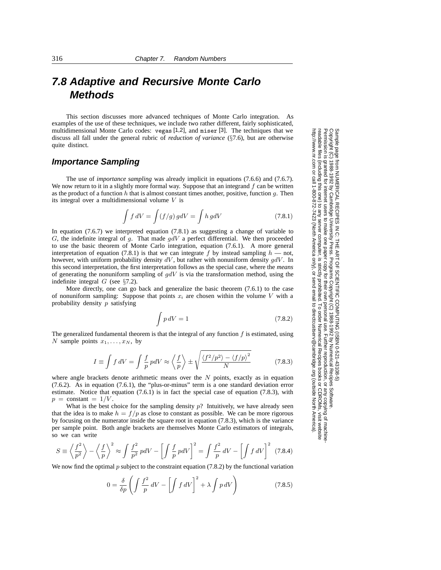# **7.8 Adaptive and Recursive Monte Carlo Methods**

This section discusses more advanced techniques of Monte Carlo integration. As examples of the use of these techniques, we include two rather different, fairly sophisticated, multidimensional Monte Carlo codes: vegas [1,2], and miser [3]. The techniques that we discuss all fall under the general rubric of *reduction of variance* (§7.6), but are otherwise quite distinct.

### **Importance Sampling**

The use of *importance sampling* was already implicit in equations (7.6.6) and (7.6.7). We now return to it in a slightly more formal way. Suppose that an integrand  $f$  can be written as the product of a function  $h$  that is almost constant times another, positive, function  $g$ . Then its integral over a multidimensional volume  $V$  is

$$
\int f dV = \int (f/g) g dV = \int h g dV \qquad (7.8.1)
$$

In equation (7.6.7) we interpreted equation (7.8.1) as suggesting a change of variable to G, the indefinite integral of g. That made  $gdV$  a perfect differential. We then proceeded to use the basic theorem of Monte Carlo integration, equation (7.6.1). A more general interpretation of equation (7.8.1) is that we can integrate f by instead sampling  $h$  — not, however, with uniform probability density  $dV$ , but rather with nonuniform density  $qdV$ . In this second interpretation, the first interpretation follows as the special case, where the *means* of generating the nonuniform sampling of  $gdV$  is via the transformation method, using the indefinite integral  $G$  (see §7.2).

More directly, one can go back and generalize the basic theorem (7.6.1) to the case of nonuniform sampling: Suppose that points  $x_i$  are chosen within the volume V with a probability density  $p$  satisfying

$$
\int p \, dV = 1 \tag{7.8.2}
$$

The generalized fundamental theorem is that the integral of any function  $f$  is estimated, using N sample points  $x_1, \ldots, x_N$ , by

$$
I \equiv \int f \, dV = \int \frac{f}{p} \, pdV \approx \left\langle \frac{f}{p} \right\rangle \pm \sqrt{\frac{\left\langle f^2/p^2 \right\rangle - \left\langle f/p \right\rangle^2}{N}} \tag{7.8.3}
$$

where angle brackets denote arithmetic means over the  $N$  points, exactly as in equation (7.6.2). As in equation (7.6.1), the "plus-or-minus" term is a one standard deviation error estimate. Notice that equation  $(7.6.1)$  is in fact the special case of equation  $(7.8.3)$ , with  $p = constant = 1/V$ .

What is the best choice for the sampling density  $p$ ? Intuitively, we have already seen that the idea is to make  $h = f/p$  as close to constant as possible. We can be more rigorous by focusing on the numerator inside the square root in equation (7.8.3), which is the variance per sample point. Both angle brackets are themselves Monte Carlo estimators of integrals, so we can write

$$
S \equiv \left\langle \frac{f^2}{p^2} \right\rangle - \left\langle \frac{f}{p} \right\rangle^2 \approx \int \frac{f^2}{p^2} p dV - \left[ \int \frac{f}{p} p dV \right]^2 = \int \frac{f^2}{p} dV - \left[ \int f dV \right]^2 \tag{7.8.4}
$$

We now find the optimal  $p$  subject to the constraint equation (7.8.2) by the functional variation

$$
0 = \frac{\delta}{\delta p} \left( \int \frac{f^2}{p} \, dV - \left[ \int f \, dV \right]^2 + \lambda \int p \, dV \right) \tag{7.8.5}
$$

Permission is granted for internet users to make one paper copy for their own personal use. Further reproduction, or any copyin Copyright (C) 1988-1992 by Cambridge University Press.Programs Copyright (C) 1988-1992 by Numerical Recipes Software. g of machinereadable files (including this one) to any servercomputer, is strictly prohibited. To order Numerical Recipes booksor CDROMs, visit website http://www.nr.com or call 1-800-872-7423 (North America only),or send email to directcustserv@cambridge.org (outside North America).

Sample page from NUMERICAL RECIPES IN C: THE ART OF SCIENTIFIC COMPUTING (ISBN 0-521-43108-5)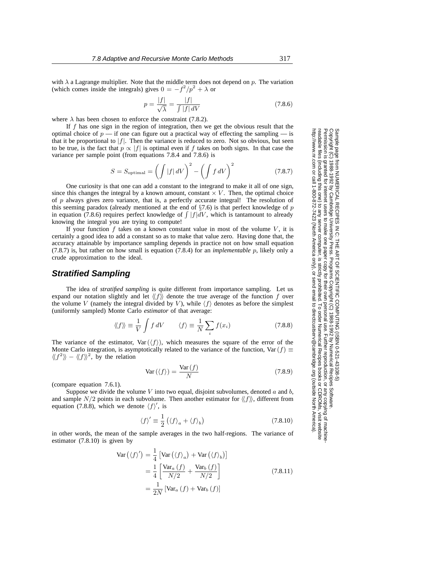with  $\lambda$  a Lagrange multiplier. Note that the middle term does not depend on p. The variation (which comes inside the integrals) gives  $0 = -f^2/p^2 + \lambda$  or

$$
p = \frac{|f|}{\sqrt{\lambda}} = \frac{|f|}{\int |f| \, dV} \tag{7.8.6}
$$

where  $\lambda$  has been chosen to enforce the constraint (7.8.2).

If  $f$  has one sign in the region of integration, then we get the obvious result that the optimal choice of  $p$  — if one can figure out a practical way of effecting the sampling — is that it be proportional to  $|f|$ . Then the variance is reduced to zero. Not so obvious, but seen to be true, is the fact that  $p \propto |f|$  is optimal even if f takes on both signs. In that case the variance per sample point (from equations 7.8.4 and 7.8.6) is

$$
S = S_{\text{optimal}} = \left(\int |f| \, dV\right)^2 - \left(\int f \, dV\right)^2 \tag{7.8.7}
$$

One curiosity is that one can add a constant to the integrand to make it all of one sign, since this changes the integral by a known amount, constant  $\times$  V. Then, the optimal choice of  $p$  always gives zero variance, that is, a perfectly accurate integral! The resolution of this seeming paradox (already mentioned at the end of  $\S$ 7.6) is that perfect knowledge of p in equation (7.8.6) requires perfect knowledge of  $\int |f| dV$ , which is tantamount to already knowing the integral you are trying to compute!

If your function  $f$  takes on a known constant value in most of the volume  $V$ , it is certainly a good idea to add a constant so as to make that value zero. Having done that, the accuracy attainable by importance sampling depends in practice not on how small equation (7.8.7) is, but rather on how small is equation (7.8.4) for an *implementable* p, likely only a crude approximation to the ideal.

#### **Stratified Sampling**

The idea of *stratified sampling* is quite different from importance sampling. Let us expand our notation slightly and let  $\langle f \rangle$  denote the true average of the function f over the volume V (namely the integral divided by V), while  $\langle f \rangle$  denotes as before the simplest (uniformly sampled) Monte Carlo *estimator* of that average:

$$
\langle\!\langle f \rangle\!\rangle \equiv \frac{1}{V} \int f \, dV \qquad \langle f \rangle \equiv \frac{1}{N} \sum_{i} f(x_i) \tag{7.8.8}
$$

The variance of the estimator, Var $(\langle f \rangle)$ , which measures the square of the error of the Monte Carlo integration, is asymptotically related to the variance of the function, Var  $(f) \equiv$  $\langle \langle f^2 \rangle \rangle - \langle \langle f \rangle \rangle^2$ , by the relation

$$
Var(\langle f \rangle) = \frac{Var(f)}{N}
$$
 (7.8.9)

(compare equation 7.6.1).

Suppose we divide the volume  $V$  into two equal, disjoint subvolumes, denoted  $a$  and  $b$ , and sample  $N/2$  points in each subvolume. Then another estimator for  $\langle f \rangle$ , different from equation (7.8.8), which we denote  $\langle f \rangle'$ , is

$$
\langle f \rangle' \equiv \frac{1}{2} \left( \langle f \rangle_a + \langle f \rangle_b \right) \tag{7.8.10}
$$

in other words, the mean of the sample averages in the two half-regions. The variance of estimator (7.8.10) is given by

$$
\begin{split} \text{Var}\left(\langle f \rangle'\right) &= \frac{1}{4} \left[ \text{Var}\left(\langle f \rangle_a\right) + \text{Var}\left(\langle f \rangle_b\right) \right] \\ &= \frac{1}{4} \left[ \frac{\text{Var}_a\left(f\right)}{N/2} + \frac{\text{Var}_b\left(f\right)}{N/2} \right] \\ &= \frac{1}{2N} \left[ \text{Var}_a\left(f\right) + \text{Var}_b\left(f\right) \right] \end{split} \tag{7.8.11}
$$

Permission is granted for internet users to make one paper copy for their own personal use. Further reproduction, or any copyin Copyright (C) 1988-1992 by Cambridge University Press.Programs Copyright (C) 1988-1992 by Numerical Recipes Software. readable files (including this one) to any servercomputer, is strictly prohibited. To order Numerical Recipes booksor CDROMs, visit website http://www.nr.com or call 1-800-872-7423 (North America only),or send email to directcustserv@cambridge.org (outside North America).

g of machine-

Sample page from NUMERICAL RECIPES IN C: THE ART OF SCIENTIFIC COMPUTING (ISBN 0-521-43108-5)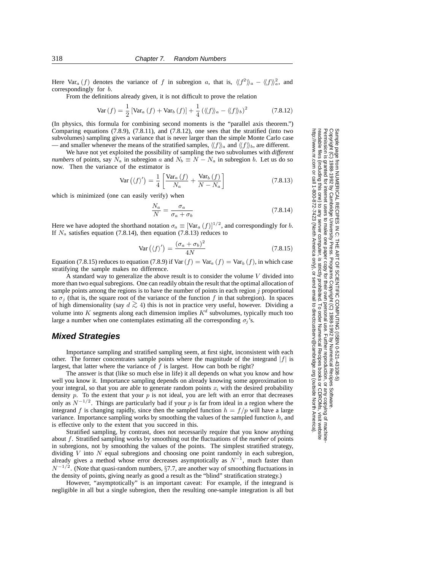Here Var<sub>a</sub>  $(f)$  denotes the variance of f in subregion a, that is,  $\langle f^2 \rangle_a - \langle f \rangle_a^2$ , and correspondingly for b.

From the definitions already given, it is not difficult to prove the relation

$$
\text{Var}(f) = \frac{1}{2} \left[ \text{Var}_a \left( f \right) + \text{Var}_b \left( f \right) \right] + \frac{1}{4} \left( \langle \langle f \rangle \rangle_a - \langle \langle f \rangle \rangle_b \right)^2 \tag{7.8.12}
$$

(In physics, this formula for combining second moments is the "parallel axis theorem.") Comparing equations  $(7.8.9)$ ,  $(7.8.11)$ , and  $(7.8.12)$ , one sees that the stratified (into two subvolumes) sampling gives a variance that is never larger than the simple Monte Carlo case — and smaller whenever the means of the stratified samples,  $\langle\langle f\rangle\rangle_a$  and  $\langle\langle f\rangle\rangle_b$ , are different.

We have not yet exploited the possibility of sampling the two subvolumes with *different numbers* of points, say  $N_a$  in subregion a and  $N_b \equiv N - N_a$  in subregion b. Let us do so now. Then the variance of the estimator is

$$
\text{Var}\left(\langle f \rangle'\right) = \frac{1}{4} \left[ \frac{\text{Var}_a\left(f\right)}{N_a} + \frac{\text{Var}_b\left(f\right)}{N - N_a} \right] \tag{7.8.13}
$$

which is minimized (one can easily verify) when

$$
\frac{N_a}{N} = \frac{\sigma_a}{\sigma_a + \sigma_b} \tag{7.8.14}
$$

Here we have adopted the shorthand notation  $\sigma_a \equiv \left[ \text{Var}_a(f) \right]^{1/2}$ , and correspondingly for b. If  $N_a$  satisfies equation (7.8.14), then equation (7.8.13) reduces to

$$
Var\left(\langle f \rangle'\right) = \frac{(\sigma_a + \sigma_b)^2}{4N} \tag{7.8.15}
$$

Equation (7.8.15) reduces to equation (7.8.9) if Var  $(f) = \text{Var}_a(f) = \text{Var}_b(f)$ , in which case stratifying the sample makes no difference.

A standard way to generalize the above result is to consider the volume  $V$  divided into more than two equal subregions. One can readily obtain the result that the optimal allocation of sample points among the regions is to have the number of points in each region  $\dot{\eta}$  proportional to  $\sigma_i$  (that is, the square root of the variance of the function f in that subregion). In spaces of high dimensionality (say <sup>d</sup> *<sup>&</sup>gt;*<sup>∼</sup> <sup>4</sup>) this is not in practice very useful, however. Dividing a volume into K segments along each dimension implies  $K<sup>d</sup>$  subvolumes, typically much too large a number when one contemplates estimating all the corresponding  $\sigma_i$ 's.

#### **Mixed Strategies**

Importance sampling and stratified sampling seem, at first sight, inconsistent with each other. The former concentrates sample points where the magnitude of the integrand  $|f|$  is largest, that latter where the variance of  $f$  is largest. How can both be right?

The answer is that (like so much else in life) it all depends on what you know and how well you know it. Importance sampling depends on already knowing some approximation to your integral, so that you are able to generate random points  $x_i$  with the desired probability density  $p$ . To the extent that your  $p$  is not ideal, you are left with an error that decreases only as  $N^{-1/2}$ . Things are particularly bad if your p is far from ideal in a region where the integrand f is changing rapidly, since then the sampled function  $h = f/p$  will have a large variance. Importance sampling works by smoothing the values of the sampled function  $h$ , and is effective only to the extent that you succeed in this.

Stratified sampling, by contrast, does not necessarily require that you know anything about f. Stratified sampling works by smoothing out the fluctuations of the *number* of points in subregions, not by smoothing the values of the points. The simplest stratified strategy, dividing  $V$  into  $N$  equal subregions and choosing one point randomly in each subregion, already gives a method whose error decreases asymptotically as  $N^{-1}$ , much faster than  $N^{-1/2}$ . (Note that quasi-random numbers, §7.7, are another way of smoothing fluctuations in the density of points, giving nearly as good a result as the "blind" stratification strategy.)

However, "asymptotically" is an important caveat: For example, if the integrand is negligible in all but a single subregion, then the resulting one-sample integration is all but

Permission is granted for internet users to make one paper copy for their own personal use. Further reproduction, or any copyin Copyright (C) 1988-1992 by Cambridge University Press.Programs Copyright (C) 1988-1992 by Numerical Recipes Software. g of machinereadable files (including this one) to any servercomputer, is strictly prohibited. To order Numerical Recipes booksor CDROMs, visit website http://www.nr.com or call 1-800-872-7423 (North America only),or send email to directcustserv@cambridge.org (outside North America).

Sample page from NUMERICAL RECIPES IN C: THE ART OF SCIENTIFIC COMPUTING (ISBN 0-521-43108-5)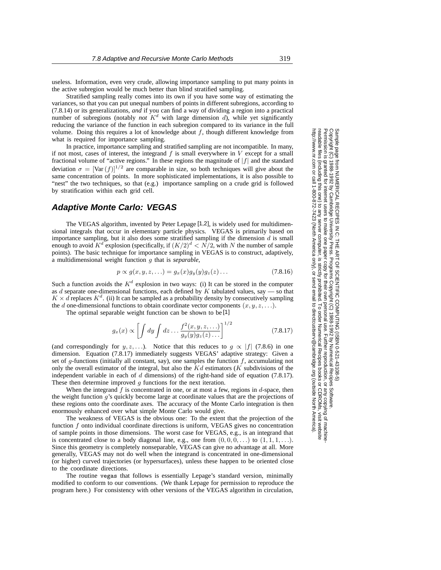useless. Information, even very crude, allowing importance sampling to put many points in the active subregion would be much better than blind stratified sampling.

Stratified sampling really comes into its own if you have some way of estimating the variances, so that you can put unequal numbers of points in different subregions, according to (7.8.14) or its generalizations, *and* if you can find a way of dividing a region into a practical number of subregions (notably *not*  $K^d$  with large dimension  $d$ ), while yet significantly reducing the variance of the function in each subregion compared to its variance in the full volume. Doing this requires a lot of knowledge about  $f$ , though different knowledge from what is required for importance sampling.

In practice, importance sampling and stratified sampling are not incompatible. In many, if not most, cases of interest, the integrand  $f$  is small everywhere in  $V$  except for a small fractional volume of "active regions." In these regions the magnitude of  $|f|$  and the standard deviation  $\sigma = \left[\text{Var}(f)\right]^{1/2}$  are comparable in size, so both techniques will give about the same concentration of points. In more sophisticated implementations, it is also possible to "nest" the two techniques, so that (e.g.) importance sampling on a crude grid is followed by stratification within each grid cell.

#### **Adaptive Monte Carlo: VEGAS**

The VEGAS algorithm, invented by Peter Lepage [1,2], is widely used for multidimensional integrals that occur in elementary particle physics. VEGAS is primarily based on importance sampling, but it also does some stratified sampling if the dimension  $d$  is small enough to avoid  $K^d$  explosion (specifically, if  $(K/2)^d < N/2$ , with N the number of sample points). The basic technique for importance sampling in VEGAS is to construct, adaptively, a multidimensional weight function g that is *separable*,

$$
p \propto g(x, y, z, \ldots) = g_x(x)g_y(y)g_z(z) \ldots \qquad (7.8.16)
$$

Such a function avoids the  $K^d$  explosion in two ways: (i) It can be stored in the computer as d separate one-dimensional functions, each defined by  $K$  tabulated values, say — so that  $K \times d$  replaces  $K^d$ . (ii) It can be sampled as a probability density by consecutively sampling the d one-dimensional functions to obtain coordinate vector components  $(x, y, z, \ldots)$ .

The optimal separable weight function can be shown to be [1]

$$
g_x(x) \propto \left[ \int dy \int dz \dots \frac{f^2(x, y, z, \dots)}{g_y(y) g_z(z) \dots} \right]^{1/2}
$$
 (7.8.17)

(and correspondingly for y, z,...). Notice that this reduces to  $g \propto |f|$  (7.8.6) in one dimension. Equation (7.8.17) immediately suggests VEGAS' adaptive strategy: Given a set of  $q$ -functions (initially all constant, say), one samples the function  $f$ , accumulating not only the overall estimator of the integral, but also the  $Kd$  estimators (K subdivisions of the independent variable in each of  $d$  dimensions) of the right-hand side of equation (7.8.17). These then determine improved  $g$  functions for the next iteration.

When the integrand f is concentrated in one, or at most a few, regions in  $d$ -space, then the weight function  $q$ 's quickly become large at coordinate values that are the projections of these regions onto the coordinate axes. The accuracy of the Monte Carlo integration is then enormously enhanced over what simple Monte Carlo would give.

The weakness of VEGAS is the obvious one: To the extent that the projection of the function f onto individual coordinate directions is uniform, VEGAS gives no concentration of sample points in those dimensions. The worst case for VEGAS, e.g., is an integrand that is concentrated close to a body diagonal line, e.g., one from  $(0, 0, 0, \ldots)$  to  $(1, 1, 1, \ldots)$ . Since this geometry is completely nonseparable, VEGAS can give no advantage at all. More generally, VEGAS may not do well when the integrand is concentrated in one-dimensional (or higher) curved trajectories (or hypersurfaces), unless these happen to be oriented close to the coordinate directions.

The routine vegas that follows is essentially Lepage's standard version, minimally modified to conform to our conventions. (We thank Lepage for permission to reproduce the program here.) For consistency with other versions of the VEGAS algorithm in circulation,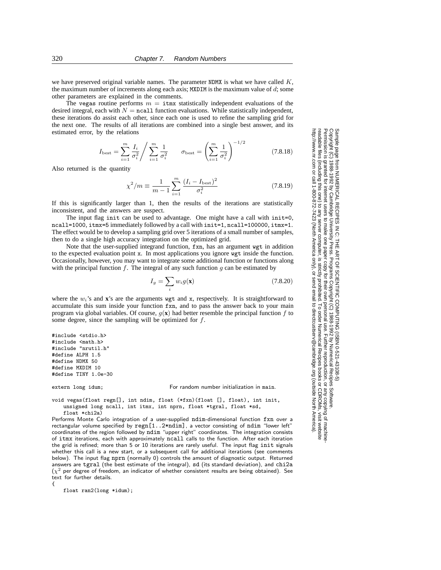we have preserved original variable names. The parameter NDMX is what we have called  $K$ , the maximum number of increments along each axis; MXDIM is the maximum value of d; some other parameters are explained in the comments.

The vegas routine performs  $m = \text{itmx statistically independent evaluations of the}$ desired integral, each with  $N =$  ncall function evaluations. While statistically independent, these iterations do assist each other, since each one is used to refine the sampling grid for the next one. The results of all iterations are combined into a single best answer, and its estimated error, by the relations

$$
I_{\text{best}} = \sum_{i=1}^{m} \frac{I_i}{\sigma_i^2} / \sum_{i=1}^{m} \frac{1}{\sigma_i^2} \qquad \sigma_{\text{best}} = \left(\sum_{i=1}^{m} \frac{1}{\sigma_i^2}\right)^{-1/2} \tag{7.8.18}
$$

Also returned is the quantity

$$
\chi^2/m \equiv \frac{1}{m-1} \sum_{i=1}^{m} \frac{(I_i - I_{\text{best}})^2}{\sigma_i^2}
$$
 (7.8.19)

If this is significantly larger than 1, then the results of the iterations are statistically inconsistent, and the answers are suspect.

The input flag init can be used to advantage. One might have a call with init=0, ncall=1000, itmx=5 immediately followed by a call with init=1, ncall=100000, itmx=1. The effect would be to develop a sampling grid over 5 iterations of a small number of samples, then to do a single high accuracy integration on the optimized grid.

Note that the user-supplied integrand function, fxn, has an argument wgt in addition to the expected evaluation point x. In most applications you ignore wgt inside the function. Occasionally, however, you may want to integrate some additional function or functions along with the principal function f. The integral of any such function q can be estimated by

$$
I_g = \sum_i w_i g(\mathbf{x}) \tag{7.8.20}
$$

where the  $w_i$ 's and **x**'s are the arguments wgt and **x**, respectively. It is straightforward to accumulate this sum inside your function fxn, and to pass the answer back to your main program via global variables. Of course,  $g(\mathbf{x})$  had better resemble the principal function f to some degree, since the sampling will be optimized for  $f$ .

```
#include <stdio.h>
#include <math.h>
#include "nrutil.h"
#define ALPH 1.5
#define NDMX 50
#define MXDIM 10
#define TINY 1.0e-30
```
extern long idum; **For random number initialization in main**.

void vegas(float regn[], int ndim, float (\*fxn)(float [], float), int init, unsigned long ncall, int itmx, int nprn, float \*tgral, float \*sd, float \*chi2a)

Performs Monte Carlo integration of a user-supplied ndim-dimensional function fxn over a rectangular volume specified by  $\text{rep}[1..2*\text{ndim}]$ , a vector consisting of  $\text{ndim}$  "lower left" coordinates of the region followed by ndim "upper right" coordinates. The integration consists of itmx iterations, each with approximately ncall calls to the function. After each iteration the grid is refined; more than 5 or 10 iterations are rarely useful. The input flag init signals whether this call is a new start, or a subsequent call for additional iterations (see comments below). The input flag nprn (normally 0) controls the amount of diagnostic output. Returned answers are tgral (the best estimate of the integral), sd (its standard deviation), and chi2a  $(\chi^2$  per degree of freedom, an indicator of whether consistent results are being obtained). See text for further details.

{

float ran2(long \*idum);

Sample page 1<br>Copyright (C)<br>Permission is Copyright (C) 1988-1992 by Cambridge University Press.Sample page from NUMERICAL RECIPES IN C: THE ART OF SCIENTIFIC COMPUTING (ISBN 0-521-43108-5) http://www.nr.com or call 1-800-872-7423 (North America only),readable files (including this one) to any serverPermission is granted for internet users to make one paper copy for their own personal use. Further reproduction, or any copyin from NUMERICAL RECIPES IN C: THE ART OF SCIENTIFIC COMPUTING (ISBN 0-521-43108-5)<br>1988-1992 by Cambridge University Press. Programs Copyright (C) 1988-1992 by Numerical Recipes Software.<br>granted for internet users to make computer, is strictly prohibited. To order Numerical Recipes booksPrograms Copyright (C) 1988-1992 by Numerical Recipes Software. or send email to directcustserv@cambridge.org (outside North America). or CDROMs, visit website g of machine-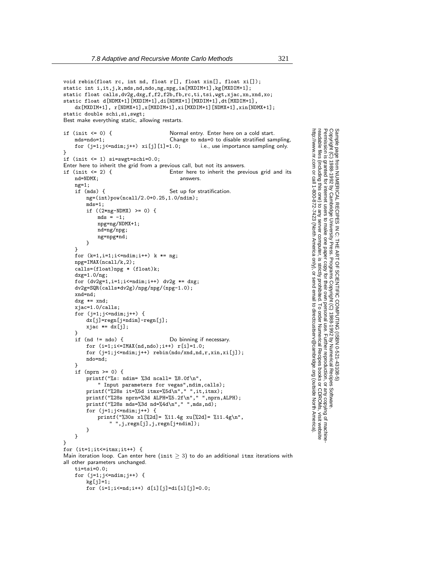Permission is granted for internet users to make one paper copy for their own personal use. Further reproduction, or any copyin

computer, is strictly prohibited. To order Numerical Recipes books

or send email to directcustserv@cambridge.org (outside North America).

Sample page from NUMERICAL RECIPES IN C: THE ART OF SCIENTIFIC COMPUTING (ISBN 0-521-43108-5)

Programs Copyright (C) 1988-1992 by Numerical Recipes Software.

g of machine-

or CDROMs, visit website

Copyright (C) 1988-1992 by Cambridge University Press.

readable files (including this one) to any server

http://www.nr.com or call 1-800-872-7423 (North America only),

```
void rebin(float rc, int nd, float r[], float xin[], float xi[]);
static int i,it,j,k,mds,nd,ndo,ng,npg,ia[MXDIM+1],kg[MXDIM+1];
static float calls,dv2g,dxg,f,f2,f2b,fb,rc,ti,tsi,wgt,xjac,xn,xnd,xo;
static float d[NDMX+1][MXDIM+1],di[NDMX+1][MXDIM+1],dt[MXDIM+1],
    dx[MXDIM+1], r[NDMX+1],x[MXDIM+1],xi[MXDIM+1][NDMX+1],xin[NDMX+1];
static double schi,si,swgt;
Best make everything static, allowing restarts.
if (init <= 0) { Normal entry. Enter here on a cold start.
   mds=ndo=1; Change to mds=0 to disable stratified sampling, for (j=1;j\leq=ndim;j++) xi[j][1]=1.0; i.e., use importance sampling only.
    for (j=1; j<=ndim; j++) xi[j][1]=1.0;}
if (init <= 1) si=swgt=schi=0.0;
Enter here to inherit the grid from a previous call, but not its answers.
if (init <= 2) { Enter here to inherit the previous grid and its
   nd=NDMX; answers.
   ng=1;
   if (mds) { Set up for stratification.
       ng=(int)pow(ncall/2.0+0.25,1.0/ndim);
       mds=1;
       if ((2 * ng - NDMX) > = 0) {
           mds = -1;npg=ng/NDMX+1;
           nd=ng/npg;
           ng=npg*nd;
       }
   }
   for (k=1, i=1; i \leq ndim; i++) k *= ng;
   npg=IMAX(ncall/k,2);
    calls=(float)npg * (float)k;
   dxg=1.0/ng;
   for (dv2g=1,i=1;i<=ndim;i++) dv2g * = dxg;dv2g=SQR(calls*dv2g)/npg/npg/(npg-1.0);
   xnd=nd;
    dxg *= xnd;
    xjac=1.0/calls;
   for (i=1; j<=ndim; j++) {
       dx[j]=regn[j+ndim]-regn[j];
       xjac *= dx[j];
    }<br>if (nd != ndo) {
                                    Do binning if necessary.
       for (i=1; i<=IMAX(nd,ndo); i++) r[i]=1.0;for (j=1;j\leq ndim;j++) rebin(ndo/xnd,nd,r,xin,xi[j]);
       ndo=nd;
    }
    if (nprn >= 0) {
       printf("%s: ndim= %3d ncall= %8.0f\n",
            " Input parameters for vegas",ndim,calls);
        printf("%28s it=%5d itmx=%5d\n"," ",it,itmx);
       \text{print}("%28s nprn=%3d ALPH=%5.2f\n"," ",nprn,ALPH);
       printf("%28s mds=%3d nd=%4d\n"," ",mds,nd);
        for (i=1; j<=ndim; j++) {
           printf("%30s xl[%2d]= %11.4g xu[%2d]= %11.4g\n",
                " ",j,regn[j],j,regn[j+ndim]);
       }
   }
}
for (it=1;it<=itmx;it++) {
Main iteration loop. Can enter here (init \geq 3) to do an additional itmx iterations with
all other parameters unchanged.
    ti=tsi=0.0;
   for (j=1;j<=ndim;j++) {
       kg[j]=1;
```
for  $(i=1; i<=nd; i++)$  d[i][j]=di[i][j]=0.0;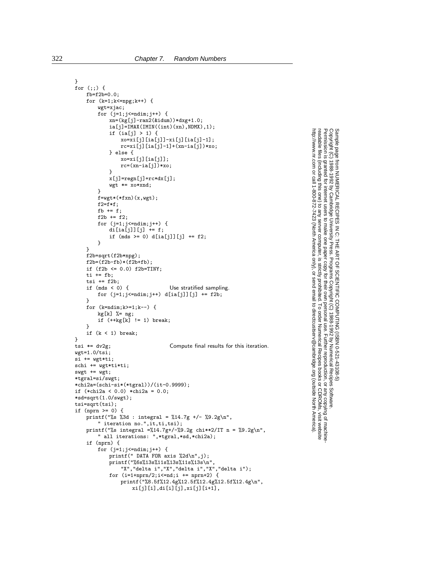```
}
for (;;) {
    fb=12b=0.0;
    for (k=1;k<=npg;k++) {
        wgt=xjac;
        for (j=1; j<=ndim; j++) {
           xn=(kg[i]-ran2(kidum))*dxg+1.0;ia[j] = IMAX(IMIN((int)(xn),NDMX),1);if (ia[j] > 1) {
                xo=xi[j][ia[j]]-xi[j][ia[j]-1];rc=xi[j][ia[j]-1]+(xn-ia[j])*xo;} else {
                xo=xi[j][ia[j]];
                rc=(xn-ia[j])*xo;}
            x[j]=regn[j]+rc*dx[j];
            wgt * = xo*xnd;}
        f=wgt*(*fxn)(x,wgt);
        f2=f*f;fb += f;
        f2b += f2;for (j=1;j<=ndim;j++) {
            di[ia[j]][j] += f;
           if (mds > = 0) d[ia[j]][j] += f2;}
    }
    f2b=sqrt(f2b*npg);
    f2b=(f2b-fb)*(f2b+fb);if (f2b \le 0.0) f2b = TINY;ti += fb;
    tsi += f2b;<br>if (mds < 0) {
                                Use stratified sampling.
        for (j=1;j<=ndim;j++) d[ia[j]][j] += f2b;
    }
    for (k=ndim;k>=1;k--) {
        kg[k] %= ng;
        if (+kg[k] != 1) break;
    }
    if (k < 1) break;
}<br>tsi *= dv2g;
                                Compute final results for this iteration.
wgt=1.0/tsi;
si += wgt*ti;schi += wgt*ti*ti;
swgt += wgt;
*tgral=si/swgt;
*chi2a=(schi-si*(*tgral))/(it-0.9999);
if (*chi2a < 0.0) *chi2a = 0.0;*sd=sqrt(1.0/swgt);
tsi=sqrt(tsi);
if (nprn \ge 0) {
    printf("%s %3d : integral = %14.7g +/- %9.2g\n",
        " iteration no.",it,ti,tsi);
    printf("%s integral =%14.7g+/-%9.2g chi**2/IT n = %9.2g\n",
        " all iterations: ",*tgral,*sd,*chi2a);
    if (nprn) {
        for (j=1; j<=ndim; j++) {
           printf(" DATA FOR axis %2d\n",j);
           printf("%6s%13s%11s%13s%11s%13s\n",
                "X","delta i","X","delta i","X","delta i");
            for (i=1+nprn/2; i \le nd; i += nprn+2) {
                printf("%8.5f%12.4g%12.5f%12.4g%12.5f%12.4g\n",
                    xi[j][i],di[i][j],xi[j][i+1],
```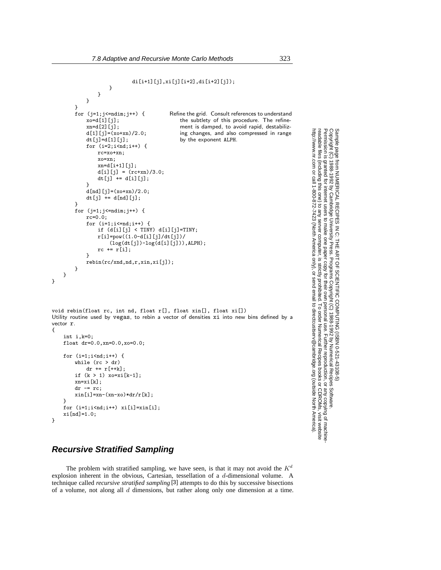```
di[i+1][j],xi[j][i+2],di[i+2][j]);
                    }
                }
            }
        }<br>for (j=1;j<=ndim;j++) {
                                          Refine the grid. Consult references to understand
                                             the subtlety of this procedure. The refine-
                                             ment is damped, to avoid rapid, destabiliz-
                                             ing changes, and also compressed in range
                                             by the exponent ALPH.
            xo=d[1][j];xn=d[2][j];
            d[1][j] = (xo+xn)/2.0;dt[j]=d[1][j];for (i=2; i \le nd; i++) {
                rc=xo+xn;
                xo=xn;
                xn = d[i+1][j];d[i][j] = (rc+xn)/3.0;dt[j] += d[i][j];}
            d[nd][j]=(xo+xn)/2.0;dt[j] += d[nd][j];}
        for (j=1;j<=ndim;j++) {
            rc=0.0;
            for (i=1;i<=nd;i++) {
                if (d[i][j] < TINY) d[i][j] = TINY;r[i]=pow((1.0-d[i][j]/dt[j])/(log(dt[j])-log(d[i][j])),ALPH);
                rc \neq r[i];}
            rebin(rc/xnd,nd,r,xin,xi[j]);
       }
    }
void rebin(float rc, int nd, float r[], float xin[], float xi[])
Utility routine used by vegas, to rebin a vector of densities xi into new bins defined by a
vector r.
```

```
{
    int i,k=0;
   float dr=0.0,xn=0.0,xo=0.0;
   for (i=1;i<nd;i++) {
       while (rc > dr)
           dr := r[++k];if (k > 1) xo=xi[k-1];
       xn=xi[k];
       dr = rc;xin[i]=xn-(xn-xo)*dr/r[k];
   }
   for (i=1;i\leq n,j++) xi[i]=xin[i];xi[nd]=1.0;
}
```
}

## **Recursive Stratified Sampling**

The problem with stratified sampling, we have seen, is that it may not avoid the  $K^d$ explosion inherent in the obvious, Cartesian, tessellation of a d-dimensional volume. A technique called *recursive stratified sampling* [3] attempts to do this by successive bisections of a volume, not along all  $d$  dimensions, but rather along only one dimension at a time.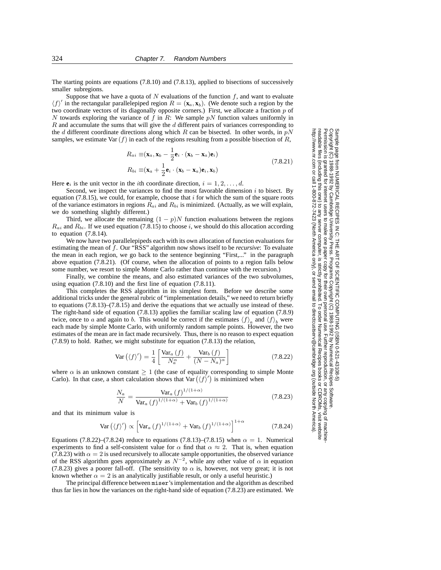The starting points are equations (7.8.10) and (7.8.13), applied to bisections of successively smaller subregions.

Suppose that we have a quota of  $N$  evaluations of the function  $f$ , and want to evaluate  $\langle f \rangle'$  in the rectangular parallelepiped region  $R = (\mathbf{x}_a, \mathbf{x}_b)$ . (We denote such a region by the two coordinate vectors of its diagonally opposite corners.) First, we allocate a fraction p of N towards exploring the variance of  $f$  in  $\hat{R}$ : We sample  $pN$  function values uniformly in R and accumulate the sums that will give the d different pairs of variances corresponding to the d different coordinate directions along which R can be bisected. In other words, in  $pN$ samples, we estimate Var  $(f)$  in each of the regions resulting from a possible bisection of R,

$$
R_{ai} \equiv (\mathbf{x}_a, \mathbf{x}_b - \frac{1}{2} \mathbf{e}_i \cdot (\mathbf{x}_b - \mathbf{x}_a) \mathbf{e}_i)
$$
  
\n
$$
R_{bi} \equiv (\mathbf{x}_a + \frac{1}{2} \mathbf{e}_i \cdot (\mathbf{x}_b - \mathbf{x}_a) \mathbf{e}_i, \mathbf{x}_b)
$$
\n(7.8.21)

Permission is granted for internet users to make one paper copy for their own personal use. Further reproduction, or any copyin

computer, is strictly prohibited. To order Numerical Recipes books

or send email to directcustserv@cambridge.org (outside North America).

Sample page from NUMERICAL RECIPES IN C: THE ART OF SCIENTIFIC COMPUTING (ISBN 0-521-43108-5)

Programs Copyright (C) 1988-1992 by Numerical Recipes Software.

g of machine-

or CDROMs, visit website

Copyright (C) 1988-1992 by Cambridge University Press.

readable files (including this one) to any server

http://www.nr.com or call 1-800-872-7423 (North America only),

Here  $e_i$  is the unit vector in the *i*th coordinate direction,  $i = 1, 2, \ldots, d$ .

Second, we inspect the variances to find the most favorable dimension  $i$  to bisect. By equation (7.8.15), we could, for example, choose that  $i$  for which the sum of the square roots of the variance estimators in regions  $R_{ai}$  and  $R_{bi}$  is minimized. (Actually, as we will explain, we do something slightly different.)

Third, we allocate the remaining  $(1 - p)N$  function evaluations between the regions  $R_{ai}$  and  $R_{bi}$ . If we used equation (7.8.15) to choose i, we should do this allocation according to equation (7.8.14).

We now have two parallelepipeds each with its own allocation of function evaluations for estimating the mean of f. Our "RSS" algorithm now shows itself to be *recursive*: To evaluate the mean in each region, we go back to the sentence beginning "First,..." in the paragraph above equation (7.8.21). (Of course, when the allocation of points to a region falls below some number, we resort to simple Monte Carlo rather than continue with the recursion.)

Finally, we combine the means, and also estimated variances of the two subvolumes, using equation (7.8.10) and the first line of equation (7.8.11).

This completes the RSS algorithm in its simplest form. Before we describe some additional tricks under the general rubric of "implementation details," we need to return briefly to equations (7.8.13)–(7.8.15) and derive the equations that we actually use instead of these. The right-hand side of equation (7.8.13) applies the familiar scaling law of equation (7.8.9) twice, once to a and again to b. This would be correct if the estimates  $\langle f \rangle_a$  and  $\langle f \rangle_b$  were each made by simple Monte Carlo, with uniformly random sample points. However, the two estimates of the mean are in fact made recursively. Thus, there is no reason to expect equation (7.8.9) to hold. Rather, we might substitute for equation (7.8.13) the relation,

$$
\text{Var}\left(\langle f \rangle'\right) = \frac{1}{4} \left[ \frac{\text{Var}_a\left(f\right)}{N_a^{\alpha}} + \frac{\text{Var}_b\left(f\right)}{(N - N_a)^{\alpha}} \right] \tag{7.8.22}
$$

where  $\alpha$  is an unknown constant  $\geq 1$  (the case of equality corresponding to simple Monte Carlo). In that case, a short calculation shows that  $Var(\langle f \rangle')$  is minimized when

$$
\frac{N_a}{N} = \frac{\text{Var}_a (f)^{1/(1+\alpha)}}{\text{Var}_a (f)^{1/(1+\alpha)} + \text{Var}_b (f)^{1/(1+\alpha)}}
$$
(7.8.23)

and that its minimum value is

$$
\text{Var}\left(\left\langle f\right\rangle'\right) \propto \left[\text{Var}_a\left(f\right)^{1/(1+\alpha)} + \text{Var}_b\left(f\right)^{1/(1+\alpha)}\right]^{1+\alpha} \tag{7.8.24}
$$

Equations (7.8.22)–(7.8.24) reduce to equations (7.8.13)–(7.8.15) when  $\alpha = 1$ . Numerical experiments to find a self-consistent value for  $\alpha$  find that  $\alpha \approx 2$ . That is, when equation (7.8.23) with  $\alpha = 2$  is used recursively to allocate sample opportunities, the observed variance of the RSS algorithm goes approximately as  $N^{-2}$ , while any other value of  $\alpha$  in equation (7.8.23) gives a poorer fall-off. (The sensitivity to  $\alpha$  is, however, not very great; it is not known whether  $\alpha = 2$  is an analytically justifiable result, or only a useful heuristic.)

The principal difference between miser's implementation and the algorithm as described thus far lies in how the variances on the right-hand side of equation (7.8.23) are estimated. We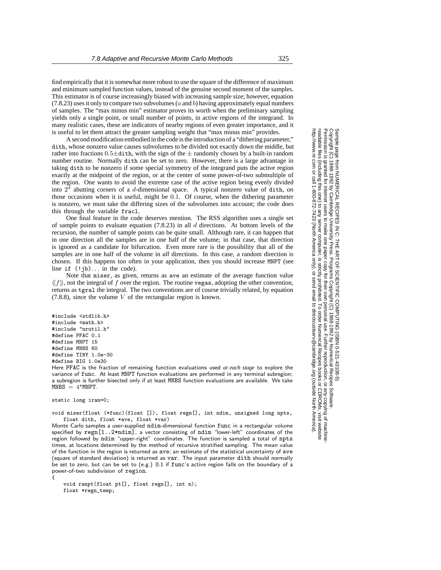find empirically that it is somewhat more robust to use the square of the difference of maximum and minimum sampled function values, instead of the genuine second moment of the samples. This estimator is of course increasingly biased with increasing sample size; however, equation  $(7.8.23)$  uses it only to compare two subvolumes  $(a \text{ and } b)$  having approximately equal numbers of samples. The "max minus min" estimator proves its worth when the preliminary sampling yields only a single point, or small number of points, in active regions of the integrand. In many realistic cases, these are indicators of nearby regions of even greater importance, and it is useful to let them attract the greater sampling weight that "max minus min" provides.

A second modification embodied in the code is the introduction of a "dithering parameter," dith, whose nonzero value causes subvolumes to be divided not exactly down the middle, but rather into fractions  $0.5\pm$ dith, with the sign of the  $\pm$  randomly chosen by a built-in random number routine. Normally dith can be set to zero. However, there is a large advantage in taking dith to be nonzero if some special symmetry of the integrand puts the active region exactly at the midpoint of the region, or at the center of some power-of-two submultiple of the region. One wants to avoid the extreme case of the active region being evenly divided into  $2^d$  abutting corners of a d-dimensional space. A typical nonzero value of dith, on those occasions when it is useful, might be 0.1. Of course, when the dithering parameter is nonzero, we must take the differing sizes of the subvolumes into account; the code does this through the variable fracl.

One final feature in the code deserves mention. The RSS algorithm uses a single set of sample points to evaluate equation  $(7.8.23)$  in all  $d$  directions. At bottom levels of the recursion, the number of sample points can be quite small. Although rare, it can happen that in one direction all the samples are in one half of the volume; in that case, that direction is ignored as a candidate for bifurcation. Even more rare is the possibility that all of the samples are in one half of the volume in *all* directions. In this case, a random direction is chosen. If this happens too often in your application, then you should increase MNPT (see line if (!jb)... in the code).

Note that miser, as given, returns as ave an estimate of the average function value  $\langle f \rangle$ , not the integral of f over the region. The routine vegas, adopting the other convention, returns as tgral the integral. The two conventions are of course trivially related, by equation  $(7.8.8)$ , since the volume V of the rectangular region is known.

#include <stdlib.h> #include <math.h> #include "nrutil.h" #define PFAC 0.1 #define MNPT 15 #define MNBS 60 #define TINY 1.0e-30 #define BIG 1.0e30

Here PFAC is the fraction of remaining function evaluations used *at each stage* to explore the variance of func. At least MNPT function evaluations are performed in any terminal subregion; a subregion is further bisected only if at least MNBS function evaluations are available. We take  $MNBS = 4*MNPT.$ 

#### static long iran=0;

{

void miser(float (\*func)(float []), float regn[], int ndim, unsigned long npts, float dith, float \*ave, float \*var)

Monte Carlo samples a user-supplied ndim-dimensional function func in a rectangular volume specified by regn[1..2\*ndim], a vector consisting of ndim "lower-left" coordinates of the region followed by ndim "upper-right" coordinates. The function is sampled a total of npts times, at locations determined by the method of recursive stratified sampling. The mean value of the function in the region is returned as ave; an estimate of the statistical uncertainty of ave (square of standard deviation) is returned as var. The input parameter dith should normally be set to zero, but can be set to (e.g.) 0.1 if func's active region falls on the boundary of a power-of-two subdivision of region.

void ranpt(float pt[], float regn[], int n); float \*regn\_temp;

Sample page 1<br>Copyright (C)<br>Permission is Copyright (C) 1988-1992 by Cambridge University Press.Sample page from NUMERICAL RECIPES IN C: THE ART OF SCIENTIFIC COMPUTING (ISBN 0-521-43108-5) http://www.nr.com or call 1-800-872-7423 (North America only),readable files (including this one) to any serverPermission is granted for internet users to make one paper copy for their own personal use. Further reproduction, or any copyin from NUMERICAL RECIPES IN C: THE ART OF SCIENTIFIC COMPUTING (ISBN 0-521-43108-5)<br>1988-1992 by Cambridge University Press. Programs Copyright (C) 1988-1992 by Numerical Recipes Software.<br>9 granted for internet users to mak computer, is strictly prohibited. To order Numerical Recipes booksPrograms Copyright (C) 1988-1992 by Numerical Recipes Software. or send email to directcustserv@cambridge.org (outside North America). or CDROMs, visit website g of machine-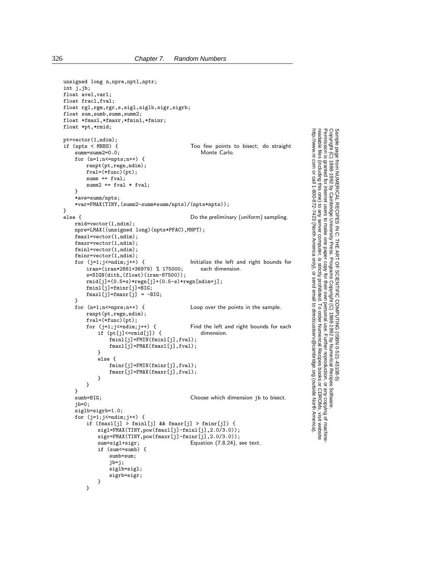```
unsigned long n,npre,nptl,nptr;
int j,jb;
float avel,varl;
float fracl,fval;
float rgl,rgm,rgr,s,sigl,siglb,sigr,sigrb;
float sum, sumb, summ, summ2;
float *fmaxl,*fmaxr,*fminl,*fminr;
float *pt,*rmid;
pt=vector(1,ndim);<br>if (npts < MNBS) {
                                              Too few points to bisect; do straight<br>Monte Carlo.
    summ = summ2=0.0:
    for (n=1; n \le npt s; n++) {
        ranpt(pt,regn,ndim);
        fval=(*func)(pt);
        summ += fval;
        summ2 += fval * fval;
    }
    *ave=summ/npts;
    *var=FMAX(TINY,(summ2-summ*summ/npts)/(npts*npts));
}
else { \qquad \qquad Do the preliminary (uniform) sampling.
    rmid=vector(1,ndim);
    npre=LMAX((unsigned long)(npts*PFAC),MNPT);
    fmaxl=vector(1,ndim);
    fmaxr=vector(1,ndim);
    fminl=vector(1,ndim);
    fminr=vector(1,ndim);<br>for (j=1;j <= ndim;j ++) {
                                              Initialize the left and right bounds for<br>each dimension.
        iran=(iran*2661+36979) % 175000;
        s=SIGN(dith,(float)(iran-87500));
        rmid[j]=(0.5+s)*regn[j]+(0.5-s)*regn[ndim+j];
        fminl[j]=fminr[j]=BIG;
        fmax1[j] = fmaxr[j] = -BIG;}<br>for (n=1; n<=npre; n++) {
                                              Loop over the points in the sample.
        ranpt(pt,regn,ndim);
        fval=(*func)(pt);
        for (j=1; j<=ndim; j++) { Find the left and right bounds for each
            if (pt[j]<=rmid[j]) { dimension.
                fminl[j]=FMIN(fminl[j],fval);
                fmaxl[j]=FMAX(fmaxl[j],fval);
            }
            else {
                fminr[j]=FMIN(fminr[j],fval);
                fmaxr[j]=FMAX(fmaxr[j],fval);
            }
        }
    }<br>sumb=BIG:
                                              Choose which dimension jb to bisect.
    jb=0;
    siglb=sigrb=1.0;
    for (j=1;j<=ndim;j++) {
        if (fmax1[j] > fmin1[j] && fmaxr[j] > fminr[j]) {
            sigl=FMAX(TINY,pow(fmaxl[j]-fminl[j],2.0/3.0));
            sigr=FMAX(TINY,pow(fmaxr[j]-fminr[j],2.0/3.0));<br>sum=sigl+sigr; Equation (7.8.24), s
                                              Equation (7.8.24), see text.
            if (sum<=sumb) {
                sumb=sum;
                jb=j;
                siglb=sigl;
                sigrb=sigr;
            }
        }
```
Permission is granted for internet users to make one paper copy for their own personal use. Further reproduction, or any copyin

computer, is strictly prohibited. To order Numerical Recipes books

or send email to directcustserv@cambridge.org (outside North America).

Sample page from NUMERICAL RECIPES IN C: THE ART OF SCIENTIFIC COMPUTING (ISBN 0-521-43108-5)

Programs Copyright (C) 1988-1992 by Numerical Recipes Software.

g of machine-

or CDROMs, visit website

Copyright (C) 1988-1992 by Cambridge University Press.

readable files (including this one) to any server

http://www.nr.com or call 1-800-872-7423 (North America only),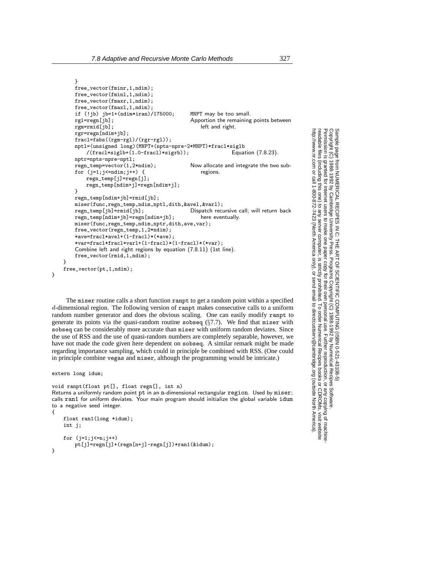```
}
    free_vector(fminr,1,ndim);
    free_vector(fminl,1,ndim);
    free_vector(fmaxr,1,ndim);
    free_vector(fmaxl,1,ndim);
    if (!jb) jb=1+(ndim*iran)/175000; MNPT may be too small.<br>rg1=regn[jb]; Apportion the remaining
                                                   Apportion the remaining points between<br>left and right.
    rgm=rmid[jb];rgr=regn[ndim+jb];
    fracl=fabs((rgm-rgl)/(rgr-rgl));
    nptl=(unsigned long)(MNPT+(npts-npre-2*MNPT)*fracl*siglb<br>
/(fracl*siglb+(1.0-fracl)*sigrb)); Equation (7.8.23).
         /(fracl*siglb+(1.0-fracl)*sigrb));
    nptr=npts-npre-nptl;<br>regn_temp=vector(1,2*ndim);
                                                   Now allocate and integrate the two sub-
    for (j=1; j \leq n \dim; j++) { regions.
         regn_temp[j]=regn[j];
        regn_temp[ndim+j]=regn[ndim+j];
    }
    regn_temp[ndim+jb]=rmid[jb];
    miser(func,regn_temp,ndim,nptl,dith,&avel,&varl);
    regn_temp[jb]=rmid[jb]; Dispatch recursive call; will return back<br>regn_temp[ndim+jb]=regn[ndim+jb]; here eventually.
    \verb|regn_temp[ndim+jb]{=}\verb|regn[ndim+jb]{;}miser(func,regn_temp,ndim,nptr,dith,ave,var);
    free_vector(regn_temp,1,2*ndim);
    *ave=fracl*avel+(1-fracl)*(*ave);
    *var=fracl*fracl*varl+(1-fracl)*(1-fracl)*(*var);
    Combine left and right regions by equation (7.8.11) (1st line).
    free_vector(rmid,1,ndim);
}
free_vector(pt,1,ndim);
```
The miser routine calls a short function ranpt to get a random point within a specified d-dimensional region. The following version of ranpt makes consecutive calls to a uniform random number generator and does the obvious scaling. One can easily modify ranpt to generate its points via the quasi-random routine sobseq  $(\S7.7)$ . We find that miser with sobseq can be considerably more accurate than miser with uniform random deviates. Since the use of RSS and the use of quasi-random numbers are completely separable, however, we have not made the code given here dependent on sobseq. A similar remark might be made regarding importance sampling, which could in principle be combined with RSS. (One could in principle combine vegas and miser, although the programming would be intricate.)

```
extern long idum;
```
}

void ranpt(float pt[], float regn[], int n) Returns a uniformly random point pt in an n-dimensional rectangular region. Used by miser; calls ran1 for uniform deviates. Your main program should initialize the global variable idum to a negative seed integer. {

```
float ran1(long *idum);
    int j;
    for (j=1;j<=n;j++)
       pt[j]=regn[j]+(regn[n+j]-regn[j])*ran1(&idum);
}
```
Sample page<br>Copyright (C)<br>Permission is Copyright (C) 1988-1992 by Cambridge University Press.Sample page from NUMERICAL RECIPES IN C: THE ART OF SCIENTIFIC COMPUTING (ISBN 0-521-43108-5) http://www.nr.com or call 1-800-872-7423 (North America only),readable files (including this one) to any serverPermission is granted for internet users to make one paper copy for their own personal use. Further reproduction, or any copyin from NUMERICAL RECIPES IN C: THE<br>1988-1992 by Cambridge University Pres PES IN C: THE ART OF SCIENTIFIC COMPUTING (ISBN 0-521-43108-5)<br>e University Press. Programs Copyright (C) 1988-1992 by Numerical Recipes Software.<br>to make one paper copy for their own personal use. Further reproduction, or computer, is strictly prohibited. To order Numerical Recipes booksPrograms Copyright (C) 1988-1992 by Numerical Recipes Software. or send email to directcustserv@cambridge.org (outside North America). or CDROMs, visit website g of machine